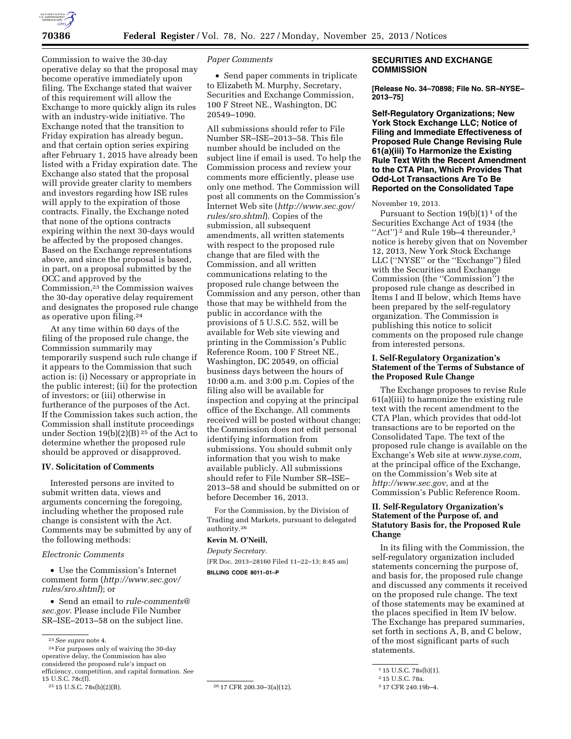

Commission to waive the 30-day operative delay so that the proposal may become operative immediately upon filing. The Exchange stated that waiver of this requirement will allow the Exchange to more quickly align its rules with an industry-wide initiative. The Exchange noted that the transition to Friday expiration has already begun, and that certain option series expiring after February 1, 2015 have already been listed with a Friday expiration date. The Exchange also stated that the proposal will provide greater clarity to members and investors regarding how ISE rules will apply to the expiration of those contracts. Finally, the Exchange noted that none of the options contracts expiring within the next 30-days would be affected by the proposed changes. Based on the Exchange representations above, and since the proposal is based, in part, on a proposal submitted by the OCC and approved by the Commission,23 the Commission waives the 30-day operative delay requirement and designates the proposed rule change as operative upon filing.24

At any time within 60 days of the filing of the proposed rule change, the Commission summarily may temporarily suspend such rule change if it appears to the Commission that such action is: (i) Necessary or appropriate in the public interest; (ii) for the protection of investors; or (iii) otherwise in furtherance of the purposes of the Act. If the Commission takes such action, the Commission shall institute proceedings under Section 19(b)(2)(B) 25 of the Act to determine whether the proposed rule should be approved or disapproved.

#### **IV. Solicitation of Comments**

Interested persons are invited to submit written data, views and arguments concerning the foregoing, including whether the proposed rule change is consistent with the Act. Comments may be submitted by any of the following methods:

# *Electronic Comments*

• Use the Commission's Internet comment form (*[http://www.sec.gov/](http://www.sec.gov/rules/sro.shtml) [rules/sro.shtml](http://www.sec.gov/rules/sro.shtml)*); or

• Send an email to *[rule-comments@](mailto:rule-comments@sec.gov) [sec.gov](mailto:rule-comments@sec.gov)*. Please include File Number SR–ISE–2013–58 on the subject line.

24For purposes only of waiving the 30-day operative delay, the Commission has also considered the proposed rule's impact on efficiency, competition, and capital formation. *See*  15 U.S.C. 78c(f).<br><sup>25</sup> 15 U.S.C. 78s(b)(2)(B).

#### *Paper Comments*

• Send paper comments in triplicate to Elizabeth M. Murphy, Secretary, Securities and Exchange Commission, 100 F Street NE., Washington, DC 20549–1090.

All submissions should refer to File Number SR–ISE–2013–58. This file number should be included on the subject line if email is used. To help the Commission process and review your comments more efficiently, please use only one method. The Commission will post all comments on the Commission's Internet Web site (*[http://www.sec.gov/](http://www.sec.gov/rules/sro.shtml) [rules/sro.shtml](http://www.sec.gov/rules/sro.shtml)*). Copies of the submission, all subsequent amendments, all written statements with respect to the proposed rule change that are filed with the Commission, and all written communications relating to the proposed rule change between the Commission and any person, other than those that may be withheld from the public in accordance with the provisions of 5 U.S.C. 552, will be available for Web site viewing and printing in the Commission's Public Reference Room, 100 F Street NE., Washington, DC 20549, on official business days between the hours of 10:00 a.m. and 3:00 p.m. Copies of the filing also will be available for inspection and copying at the principal office of the Exchange. All comments received will be posted without change; the Commission does not edit personal identifying information from submissions. You should submit only information that you wish to make available publicly. All submissions should refer to File Number SR–ISE– 2013–58 and should be submitted on or before December 16, 2013.

For the Commission, by the Division of Trading and Markets, pursuant to delegated authority.26

# **Kevin M. O'Neill,**

*Deputy Secretary.*  [FR Doc. 2013–28160 Filed 11–22–13; 8:45 am] **BILLING CODE 8011–01–P** 

<sup>26</sup> 17 CFR 200.30-3(a)(12).

# **SECURITIES AND EXCHANGE COMMISSION**

**[Release No. 34–70898; File No. SR–NYSE– 2013–75]** 

**Self-Regulatory Organizations; New York Stock Exchange LLC; Notice of Filing and Immediate Effectiveness of Proposed Rule Change Revising Rule 61(a)(iii) To Harmonize the Existing Rule Text With the Recent Amendment to the CTA Plan, Which Provides That Odd-Lot Transactions Are To Be Reported on the Consolidated Tape** 

### November 19, 2013.

Pursuant to Section  $19(b)(1)^1$  of the Securities Exchange Act of 1934 (the "Act")<sup>2</sup> and Rule 19b-4 thereunder,<sup>3</sup> notice is hereby given that on November 12, 2013, New York Stock Exchange LLC (''NYSE'' or the ''Exchange'') filed with the Securities and Exchange Commission (the ''Commission'') the proposed rule change as described in Items I and II below, which Items have been prepared by the self-regulatory organization. The Commission is publishing this notice to solicit comments on the proposed rule change from interested persons.

### **I. Self-Regulatory Organization's Statement of the Terms of Substance of the Proposed Rule Change**

The Exchange proposes to revise Rule 61(a)(iii) to harmonize the existing rule text with the recent amendment to the CTA Plan, which provides that odd-lot transactions are to be reported on the Consolidated Tape. The text of the proposed rule change is available on the Exchange's Web site at *[www.nyse.com,](http://www.nyse.com)*  at the principal office of the Exchange, on the Commission's Web site at *[http://www.sec.gov,](http://www.sec.gov)* and at the Commission's Public Reference Room.

### **II. Self-Regulatory Organization's Statement of the Purpose of, and Statutory Basis for, the Proposed Rule Change**

In its filing with the Commission, the self-regulatory organization included statements concerning the purpose of, and basis for, the proposed rule change and discussed any comments it received on the proposed rule change. The text of those statements may be examined at the places specified in Item IV below. The Exchange has prepared summaries, set forth in sections A, B, and C below, of the most significant parts of such statements.

<sup>23</sup>*See supra* note 4.

<sup>1</sup> 15 U.S.C. 78s(b)(1).

<sup>2</sup> 15 U.S.C. 78a.

<sup>3</sup> 17 CFR 240.19b–4.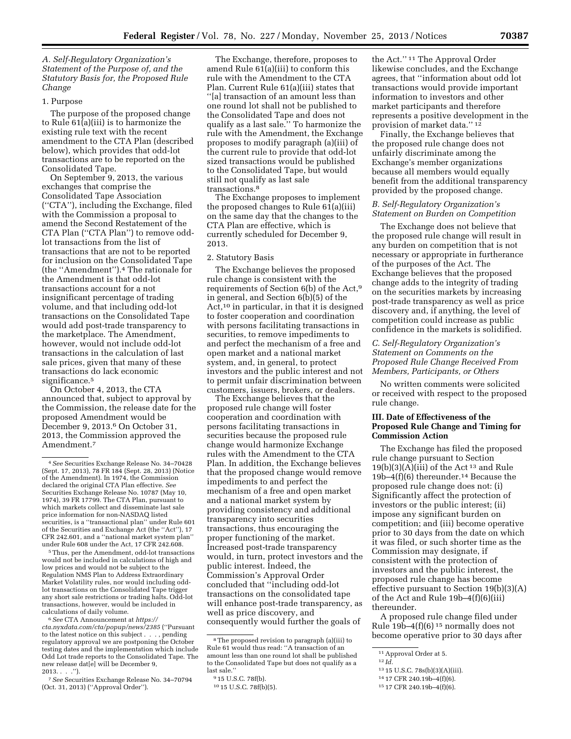*A. Self-Regulatory Organization's Statement of the Purpose of, and the Statutory Basis for, the Proposed Rule Change* 

### 1. Purpose

The purpose of the proposed change to Rule 61(a)(iii) is to harmonize the existing rule text with the recent amendment to the CTA Plan (described below), which provides that odd-lot transactions are to be reported on the Consolidated Tape.

On September 9, 2013, the various exchanges that comprise the Consolidated Tape Association (''CTA''), including the Exchange, filed with the Commission a proposal to amend the Second Restatement of the CTA Plan (''CTA Plan'') to remove oddlot transactions from the list of transactions that are not to be reported for inclusion on the Consolidated Tape (the ''Amendment'').4 The rationale for the Amendment is that odd-lot transactions account for a not insignificant percentage of trading volume, and that including odd-lot transactions on the Consolidated Tape would add post-trade transparency to the marketplace. The Amendment, however, would not include odd-lot transactions in the calculation of last sale prices, given that many of these transactions do lack economic significance.<sup>5</sup>

On October 4, 2013, the CTA announced that, subject to approval by the Commission, the release date for the proposed Amendment would be December 9, 2013.<sup>6</sup> On October 31, 2013, the Commission approved the Amendment.7

5Thus, per the Amendment, odd-lot transactions would not be included in calculations of high and low prices and would not be subject to the Regulation NMS Plan to Address Extraordinary Market Volatility rules, nor would including oddlot transactions on the Consolidated Tape trigger any short sale restrictions or trading halts. Odd-lot transactions, however, would be included in calculations of daily volume.

6*See* CTA Announcement at *[https://](https://cta.nyxdata.com/cta/popup/news/2385) [cta.nyxdata.com/cta/popup/news/2385](https://cta.nyxdata.com/cta/popup/news/2385)* (''Pursuant to the latest notice on this subject . . . , pending regulatory approval we are postponing the October testing dates and the implementation which include Odd Lot trade reports to the Consolidated Tape. The new release dat[e] will be December 9,  $2013. . . . .$ ").

The Exchange, therefore, proposes to amend Rule 61(a)(iii) to conform this rule with the Amendment to the CTA Plan. Current Rule 61(a)(iii) states that ''[a] transaction of an amount less than one round lot shall not be published to the Consolidated Tape and does not qualify as a last sale.'' To harmonize the rule with the Amendment, the Exchange proposes to modify paragraph (a)(iii) of the current rule to provide that odd-lot sized transactions would be published to the Consolidated Tape, but would still not qualify as last sale transactions.8

The Exchange proposes to implement the proposed changes to Rule 61(a)(iii) on the same day that the changes to the CTA Plan are effective, which is currently scheduled for December 9, 2013.

#### 2. Statutory Basis

The Exchange believes the proposed rule change is consistent with the requirements of Section 6(b) of the Act,9 in general, and Section 6(b)(5) of the Act,10 in particular, in that it is designed to foster cooperation and coordination with persons facilitating transactions in securities, to remove impediments to and perfect the mechanism of a free and open market and a national market system, and, in general, to protect investors and the public interest and not to permit unfair discrimination between customers, issuers, brokers, or dealers.

The Exchange believes that the proposed rule change will foster cooperation and coordination with persons facilitating transactions in securities because the proposed rule change would harmonize Exchange rules with the Amendment to the CTA Plan. In addition, the Exchange believes that the proposed change would remove impediments to and perfect the mechanism of a free and open market and a national market system by providing consistency and additional transparency into securities transactions, thus encouraging the proper functioning of the market. Increased post-trade transparency would, in turn, protect investors and the public interest. Indeed, the Commission's Approval Order concluded that ''including odd-lot transactions on the consolidated tape will enhance post-trade transparency, as well as price discovery, and consequently would further the goals of

the Act.'' 11 The Approval Order likewise concludes, and the Exchange agrees, that ''information about odd lot transactions would provide important information to investors and other market participants and therefore represents a positive development in the provision of market data.'' 12

Finally, the Exchange believes that the proposed rule change does not unfairly discriminate among the Exchange's member organizations because all members would equally benefit from the additional transparency provided by the proposed change.

#### *B. Self-Regulatory Organization's Statement on Burden on Competition*

The Exchange does not believe that the proposed rule change will result in any burden on competition that is not necessary or appropriate in furtherance of the purposes of the Act. The Exchange believes that the proposed change adds to the integrity of trading on the securities markets by increasing post-trade transparency as well as price discovery and, if anything, the level of competition could increase as public confidence in the markets is solidified.

### *C. Self-Regulatory Organization's Statement on Comments on the Proposed Rule Change Received From Members, Participants, or Others*

No written comments were solicited or received with respect to the proposed rule change.

### **III. Date of Effectiveness of the Proposed Rule Change and Timing for Commission Action**

The Exchange has filed the proposed rule change pursuant to Section  $19(b)(3)(A)(iii)$  of the Act<sup>13</sup> and Rule 19b–4 $(f)(6)$  thereunder.<sup>14</sup> Because the proposed rule change does not: (i) Significantly affect the protection of investors or the public interest; (ii) impose any significant burden on competition; and (iii) become operative prior to 30 days from the date on which it was filed, or such shorter time as the Commission may designate, if consistent with the protection of investors and the public interest, the proposed rule change has become effective pursuant to Section 19(b)(3)(A) of the Act and Rule 19b–4(f)(6)(iii) thereunder.

A proposed rule change filed under Rule  $19\bar{b}$ –4(f)(6)<sup>15</sup> normally does not become operative prior to 30 days after

<sup>4</sup>*See* Securities Exchange Release No. 34–70428 (Sept. 17, 2013), 78 FR 184 (Sept. 28, 2013) (Notice of the Amendment). In 1974, the Commission declared the original CTA Plan effective. *See*  Securities Exchange Release No. 10787 (May 10, 1974), 39 FR 17799. The CTA Plan, pursuant to which markets collect and disseminate last sale price information for non-NASDAQ listed securities, is a ''transactional plan'' under Rule 601 of the Securities and Exchange Act (the ''Act''), 17 CFR 242.601, and a ''national market system plan'' under Rule 608 under the Act, 17 CFR 242.608.

<sup>7</sup>*See* Securities Exchange Release No. 34–70794 (Oct. 31, 2013) (''Approval Order'').

<sup>8</sup>The proposed revision to paragraph (a)(iii) to Rule 61 would thus read: ''A transaction of an amount less than one round lot shall be published to the Consolidated Tape but does not qualify as a last sale.''

<sup>9</sup> 15 U.S.C. 78f(b).

<sup>10</sup> 15 U.S.C. 78f(b)(5).

<sup>11</sup>Approval Order at 5.

<sup>12</sup> *Id.* 

<sup>13</sup> 15 U.S.C. 78s(b)(3)(A)(iii).

<sup>14</sup> 17 CFR 240.19b–4(f)(6).

<sup>15</sup> 17 CFR 240.19b–4(f)(6).